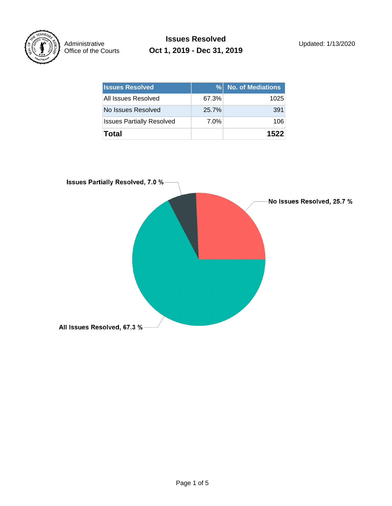

**Issues Resolved** Updated: 1/13/2020 **Oct 1, 2019 - Dec 31, 2019**

| <b>Issues Resolved</b>           | $\%$  | <b>No. of Mediations</b> |
|----------------------------------|-------|--------------------------|
| All Issues Resolved              | 67.3% | 1025                     |
| No Issues Resolved               | 25.7% | 391                      |
| <b>Issues Partially Resolved</b> | 7.0%  | 106                      |
| Total                            |       | 1522                     |

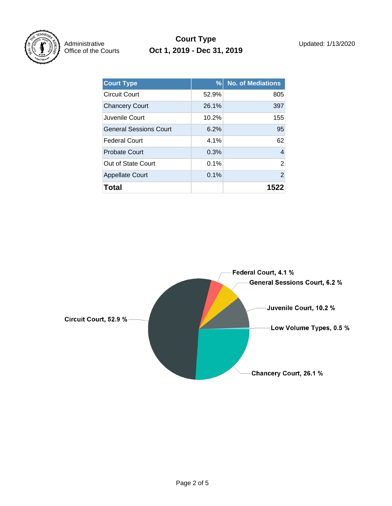

### **Court Type** Updated: 1/13/2020 **Oct 1, 2019 - Dec 31, 2019**

| <b>Court Type</b>             | %       | <b>No. of Mediations</b> |
|-------------------------------|---------|--------------------------|
| <b>Circuit Court</b>          | 52.9%   | 805                      |
| <b>Chancery Court</b>         | 26.1%   | 397                      |
| Juvenile Court                | 10.2%   | 155                      |
| <b>General Sessions Court</b> | 6.2%    | 95                       |
| Federal Court                 | 4.1%    | 62                       |
| <b>Probate Court</b>          | 0.3%    | 4                        |
| Out of State Court            | $0.1\%$ | $\overline{2}$           |
| <b>Appellate Court</b>        | 0.1%    | 2                        |
| Total                         |         | 152                      |

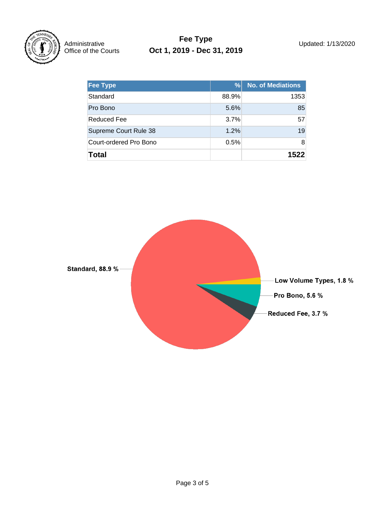

## **Fee Type** Updated: 1/13/2020 **Oct 1, 2019 - Dec 31, 2019**

| <b>Fee Type</b>        | %     | <b>No. of Mediations</b> |
|------------------------|-------|--------------------------|
| Standard               | 88.9% | 1353                     |
| Pro Bono               | 5.6%  | 85                       |
| Reduced Fee            | 3.7%  | 57                       |
| Supreme Court Rule 38  | 1.2%  | 19                       |
| Court-ordered Pro Bono | 0.5%  | 8                        |
| Total                  |       | 1522                     |

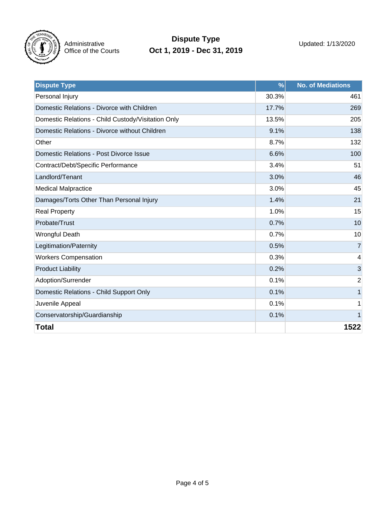

# **Dispute Type** Updated: 1/13/2020 **Oct 1, 2019 - Dec 31, 2019**

| <b>Dispute Type</b>                                | $\frac{9}{6}$ | <b>No. of Mediations</b> |
|----------------------------------------------------|---------------|--------------------------|
| Personal Injury                                    | 30.3%         | 461                      |
| Domestic Relations - Divorce with Children         | 17.7%         | 269                      |
| Domestic Relations - Child Custody/Visitation Only | 13.5%         | 205                      |
| Domestic Relations - Divorce without Children      | 9.1%          | 138                      |
| Other                                              | 8.7%          | 132                      |
| Domestic Relations - Post Divorce Issue            | 6.6%          | 100                      |
| Contract/Debt/Specific Performance                 | 3.4%          | 51                       |
| Landlord/Tenant                                    | 3.0%          | 46                       |
| <b>Medical Malpractice</b>                         | 3.0%          | 45                       |
| Damages/Torts Other Than Personal Injury           | 1.4%          | 21                       |
| <b>Real Property</b>                               | 1.0%          | 15                       |
| Probate/Trust                                      | 0.7%          | 10                       |
| <b>Wrongful Death</b>                              | 0.7%          | 10                       |
| Legitimation/Paternity                             | 0.5%          | $\overline{7}$           |
| <b>Workers Compensation</b>                        | 0.3%          | 4                        |
| <b>Product Liability</b>                           | 0.2%          | 3                        |
| Adoption/Surrender                                 | 0.1%          | $\overline{2}$           |
| Domestic Relations - Child Support Only            | 0.1%          |                          |
| Juvenile Appeal                                    | 0.1%          |                          |
| Conservatorship/Guardianship                       | 0.1%          | $\mathbf 1$              |
| <b>Total</b>                                       |               | 1522                     |